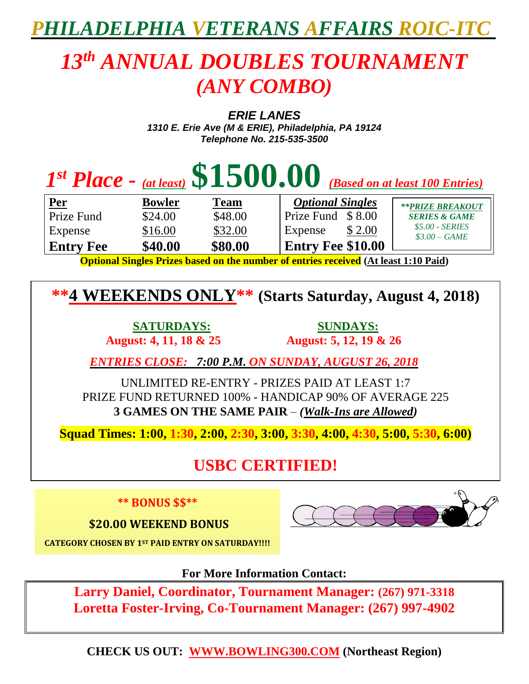## *PHILADELPHIA VETERANS AFFAIRS ROIC-ITC*

## *13 th ANNUAL DOUBLES TOURNAMENT (ANY COMBO)*

*ERIE LANES*

*1310 E. Erie Ave (M & ERIE), Philadelphia, PA 19124 Telephone No. 215-535-3500*

| $Ist Place - (at least) $1500.00$ (Based on at least 100 Entries)                     |               |             |                          |                                 |  |
|---------------------------------------------------------------------------------------|---------------|-------------|--------------------------|---------------------------------|--|
| <u>  Per</u>                                                                          | <b>Bowler</b> | <b>Team</b> | <b>Optional Singles</b>  | <b>**PRIZE BREAKOUT</b>         |  |
| Prize Fund                                                                            | \$24.00       | \$48.00     | Prize Fund \$8.00        | <b>SERIES &amp; GAME</b>        |  |
| Expense                                                                               | \$16.00       | \$32.00     | \$ 2.00<br>Expense       | \$5.00 - SERIES<br>$$3.00-GAME$ |  |
| <b>Entry Fee</b>                                                                      | \$40.00       | \$80.00     | <b>Entry Fee \$10.00</b> |                                 |  |
| Ontianal Cingles Drives bosed on the number of entries researced (At least 1.10 Do:d) |               |             |                          |                                 |  |

**Optional Singles Prizes based on the number of entries received (At least 1:10 Paid)**

**\*\*4 WEEKENDS ONLY\*\* (Starts Saturday, August 4, 2018)**

 **August: 4, 11, 18 & 25 August: 5, 12, 19 & 26**

 **SATURDAYS: SUNDAYS:**

 *ENTRIES CLOSE: 7:00 P.M. ON SUNDAY, AUGUST 26, 2018*

UNLIMITED RE-ENTRY - PRIZES PAID AT LEAST 1:7 PRIZE FUND RETURNED 100% - HANDICAP 90% OF AVERAGE 225 **3 GAMES ON THE SAME PAIR** – *(Walk-Ins are Allowed)*

**Squad Times: 1:00, 1:30, 2:00, 2:30, 3:00, 3:30, 4:00, 4:30, 5:00, 5:30, 6:00)**

## **USBC CERTIFIED!**

**\*\* BONUS \$\$\*\***

**\$20.00 WEEKEND BONUS** 



**CATEGORY CHOSEN BY 1ST PAID ENTRY ON SATURDAY!!!!**

**For More Information Contact:**

**Larry Daniel, Coordinator, Tournament Manager: (267) 971-3318 Loretta Foster-Irving, Co-Tournament Manager: (267) 997-4902**

**CHECK US OUT: WWW.BOWLING300.COM (Northeast Region)**